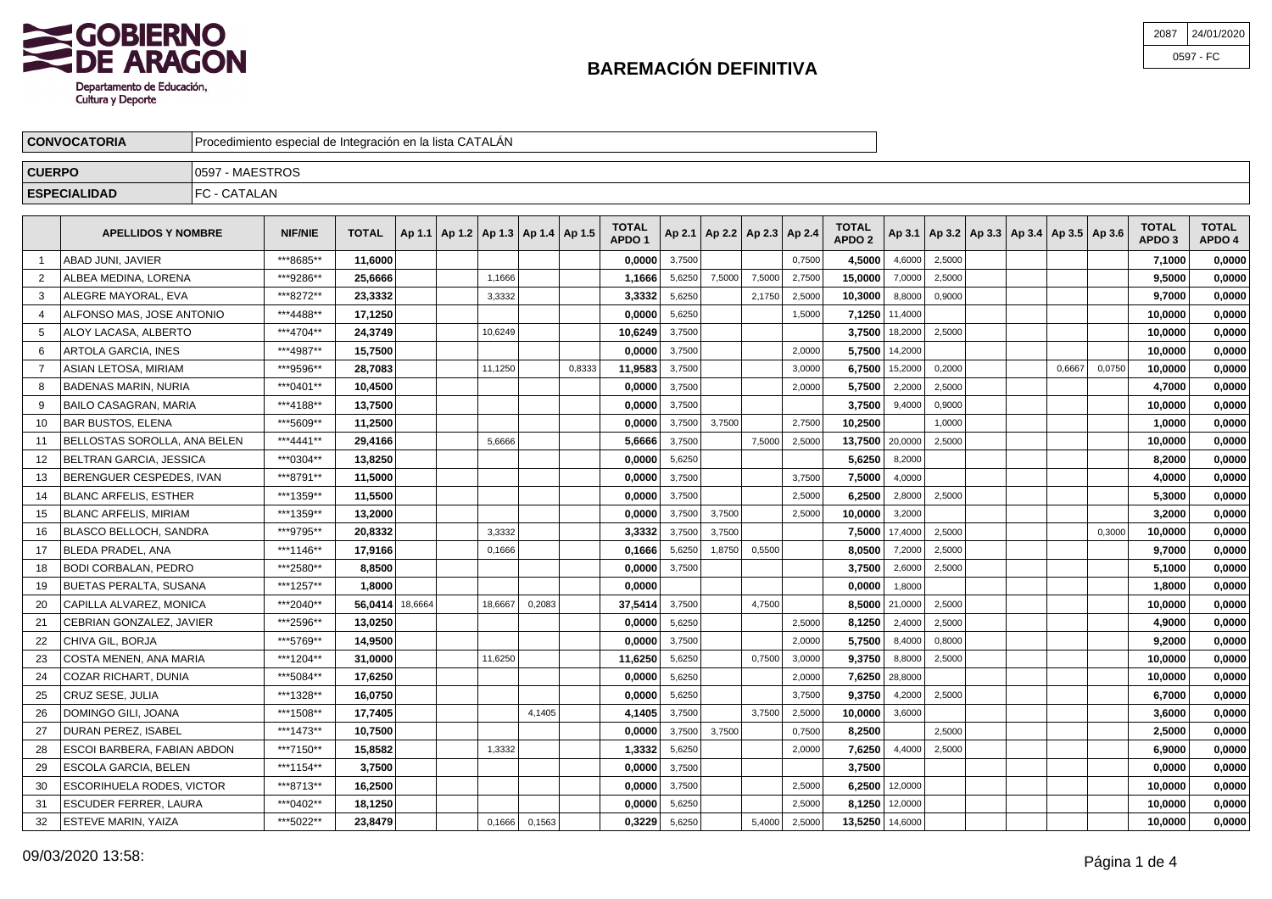

| 2087 | 24/01/2020 |
|------|------------|
|      | 0597 - FC  |

| <b>CONVOCATORIA</b> | IProcedimiento especial de Integración en la lista CATALÁN |
|---------------------|------------------------------------------------------------|
| <b>CUERPO</b>       | / - MAFSTROS<br>1059                                       |
| <b>ESPECIALIDAD</b> | IFC - CATALAN                                              |

|                | <b>APELLIDOS Y NOMBRE</b>        | <b>NIF/NIE</b> | <b>TOTAL</b>    | Ap 1.1   Ap 1.2   Ap 1.3   Ap 1.4   Ap 1.5 |         |        |        | <b>TOTAL</b><br>APDO <sub>1</sub> |        | Ap 2.1   Ap 2.2   Ap 2.3   Ap 2.4 |        |        | <b>TOTAL</b><br>APDO <sub>2</sub> |                |        | Ap 3.1   Ap 3.2   Ap 3.3   Ap 3.4   Ap 3.5   Ap 3.6 |        |        | <b>TOTAL</b><br>APDO <sub>3</sub> | <b>TOTAL</b><br>APDO 4 |
|----------------|----------------------------------|----------------|-----------------|--------------------------------------------|---------|--------|--------|-----------------------------------|--------|-----------------------------------|--------|--------|-----------------------------------|----------------|--------|-----------------------------------------------------|--------|--------|-----------------------------------|------------------------|
|                | ABAD JUNI. JAVIER                | ***8685**      | 11.6000         |                                            |         |        |        | 0.0000                            | 3.7500 |                                   |        | 0.7500 | 4.5000                            | 4,6000         | 2,5000 |                                                     |        |        | 7.1000                            | 0.0000                 |
| $\overline{2}$ | ALBEA MEDINA. LORENA             | ***9286**      | 25,6666         |                                            | 1.1666  |        |        | 1,1666                            | 5,6250 | 7,5000                            | 7,5000 | 2,7500 | 15,0000                           | 7,0000         | 2,5000 |                                                     |        |        | 9.5000                            | 0,0000                 |
| 3              | ALEGRE MAYORAL, EVA              | ***8272**      | 23,3332         |                                            | 3,3332  |        |        | 3,3332                            | 5,6250 |                                   | 2,1750 | 2,5000 | 10.3000                           | 8,8000         | 0,9000 |                                                     |        |        | 9,7000                            | 0,0000                 |
|                | ALFONSO MAS. JOSE ANTONIO        | ***4488**      | 17.1250         |                                            |         |        |        | 0,0000                            | 5,6250 |                                   |        | 1,5000 |                                   | 7,1250 11,4000 |        |                                                     |        |        | 10.0000                           | 0,0000                 |
| 5              | ALOY LACASA, ALBERTO             | ***4704**      | 24,3749         |                                            | 10.6249 |        |        | 10,6249                           | 3,7500 |                                   |        |        |                                   | 3.7500 18,2000 | 2.5000 |                                                     |        |        | 10,0000                           | 0,0000                 |
| 6              | <b>ARTOLA GARCIA. INES</b>       | ***4987**      | 15.7500         |                                            |         |        |        | 0.0000                            | 3,7500 |                                   |        | 2,0000 |                                   | 5.7500 14,2000 |        |                                                     |        |        | 10.0000                           | 0,0000                 |
|                | ASIAN LETOSA, MIRIAM             | ***9596**      | 28,7083         |                                            | 11,1250 |        | 0,8333 | 11,9583                           | 3,7500 |                                   |        | 3,0000 | 6,7500                            | 15,2000        | 0,2000 |                                                     | 0,6667 | 0,0750 | 10,0000                           | 0,0000                 |
|                | BADENAS MARIN, NURIA             | ***0401**      | 10,4500         |                                            |         |        |        | 0,0000                            | 3,7500 |                                   |        | 2,0000 | 5,7500                            | 2,2000         | 2,5000 |                                                     |        |        | 4,7000                            | 0,0000                 |
| 9              | <b>BAILO CASAGRAN, MARIA</b>     | ***4188**      | 13,7500         |                                            |         |        |        | 0,0000                            | 3,7500 |                                   |        |        | 3,7500                            | 9,4000         | 0,9000 |                                                     |        |        | 10,0000                           | 0,0000                 |
| 10             | <b>BAR BUSTOS, ELENA</b>         | ***5609**      | 11,2500         |                                            |         |        |        | 0,0000                            | 3,7500 | 3,7500                            |        | 2,7500 | 10.2500                           |                | 1.0000 |                                                     |        |        | 1,0000                            | 0,0000                 |
| 11             | BELLOSTAS SOROLLA. ANA BELEN     | ***4441**      | 29.4166         |                                            | 5.6666  |        |        | 5,6666                            | 3,7500 |                                   | 7,5000 | 2,5000 | 13,7500 20,0000                   |                | 2,5000 |                                                     |        |        | 10.0000                           | 0,0000                 |
| 12             | BELTRAN GARCIA, JESSICA          | ***0304**      | 13,8250         |                                            |         |        |        | 0,0000                            | 5,6250 |                                   |        |        | 5,6250                            | 8,2000         |        |                                                     |        |        | 8,2000                            | 0,0000                 |
| 13             | BERENGUER CESPEDES. IVAN         | ***8791**      | 11.5000         |                                            |         |        |        | 0.0000                            | 3,7500 |                                   |        | 3.7500 | 7.5000                            | 4,0000         |        |                                                     |        |        | 4.0000                            | 0.0000                 |
| 14             | <b>BLANC ARFELIS, ESTHER</b>     | ***1359**      | 11,5500         |                                            |         |        |        | 0,0000                            | 3,7500 |                                   |        | 2,5000 | 6.2500                            | 2,8000         | 2,5000 |                                                     |        |        | 5,3000                            | 0,0000                 |
| 15             | <b>BLANC ARFELIS, MIRIAM</b>     | ***1359**      | 13,2000         |                                            |         |        |        | 0,0000                            | 3,7500 | 3,7500                            |        | 2,5000 | 10,0000                           | 3,2000         |        |                                                     |        |        | 3,2000                            | 0,0000                 |
| 16             | <b>BLASCO BELLOCH, SANDRA</b>    | ***9795**      | 20,8332         |                                            | 3.3332  |        |        | 3,3332                            | 3,7500 | 3,7500                            |        |        | 7.5000                            | 17,4000        | 2,5000 |                                                     |        | 0,3000 | 10,0000                           | 0,0000                 |
| 17             | BLEDA PRADEL. ANA                | ***1146**      | 17,9166         |                                            | 0,1666  |        |        | 0,1666                            | 5,6250 | 1,8750                            | 0,5500 |        | 8.0500                            | 7,2000         | 2,5000 |                                                     |        |        | 9.7000                            | 0,0000                 |
| 18             | <b>BODI CORBALAN, PEDRO</b>      | ***2580**      | 8.8500          |                                            |         |        |        | 0.0000                            | 3,7500 |                                   |        |        | 3.7500                            | 2,6000         | 2,5000 |                                                     |        |        | 5,1000                            | 0.0000                 |
| 19             | BUETAS PERALTA, SUSANA           | ***1257**      | 1,8000          |                                            |         |        |        | 0,0000                            |        |                                   |        |        | 0,0000                            | 1,8000         |        |                                                     |        |        | 1,8000                            | 0,0000                 |
| 20             | CAPILLA ALVAREZ, MONICA          | ***2040**      | 56,0414 18,6664 |                                            | 18,6667 | 0,2083 |        | 37,5414                           | 3,7500 |                                   | 4,7500 |        | 8,5000                            | 21,0000        | 2,5000 |                                                     |        |        | 10,0000                           | 0,0000                 |
| 21             | CEBRIAN GONZALEZ, JAVIER         | ***2596**      | 13,0250         |                                            |         |        |        | 0,0000                            | 5,6250 |                                   |        | 2,5000 | 8,1250                            | 2,4000         | 2,5000 |                                                     |        |        | 4,9000                            | 0,0000                 |
| 22             | CHIVA GIL. BORJA                 | ***5769**      | 14,9500         |                                            |         |        |        | 0,0000                            | 3.7500 |                                   |        | 2.0000 | 5.7500                            | 8.4000         | 0.8000 |                                                     |        |        | 9,2000                            | 0,0000                 |
| 23             | COSTA MENEN. ANA MARIA           | ***1204**      | 31.0000         |                                            | 11,6250 |        |        | 11.6250                           | 5,6250 |                                   | 0,7500 | 3,0000 | 9.3750                            | 8,8000         | 2,5000 |                                                     |        |        | 10.0000                           | 0.0000                 |
| 24             | COZAR RICHART, DUNIA             | ***5084**      | 17,6250         |                                            |         |        |        | 0,0000                            | 5,6250 |                                   |        | 2,0000 |                                   | 7,6250 28,8000 |        |                                                     |        |        | 10,0000                           | 0,0000                 |
| 25             | CRUZ SESE, JULIA                 | ***1328**      | 16,0750         |                                            |         |        |        | 0,0000                            | 5,6250 |                                   |        | 3,7500 | 9,3750                            | 4,2000         | 2,5000 |                                                     |        |        | 6,7000                            | 0,0000                 |
| 26             | DOMINGO GILI. JOANA              | ***1508**      | 17.7405         |                                            |         | 4.1405 |        | 4.1405                            | 3,7500 |                                   | 3.7500 | 2,5000 | 10,0000                           | 3,6000         |        |                                                     |        |        | 3.6000                            | 0,0000                 |
| 27             | DURAN PEREZ. ISABEL              | ***1473**      | 10,7500         |                                            |         |        |        | 0.0000                            | 3.7500 | 3.7500                            |        | 0,7500 | 8.2500                            |                | 2.5000 |                                                     |        |        | 2,5000                            | 0,0000                 |
| 28             | ESCOI BARBERA. FABIAN ABDON      | ***7150**      | 15.8582         |                                            | 1,3332  |        |        | 1,3332                            | 5,6250 |                                   |        | 2,0000 | 7.6250                            | 4,4000         | 2,5000 |                                                     |        |        | 6,9000                            | 0,0000                 |
| 29             | ESCOLA GARCIA, BELEN             | ***1154**      | 3,7500          |                                            |         |        |        | 0,0000                            | 3,7500 |                                   |        |        | 3,7500                            |                |        |                                                     |        |        | 0,0000                            | 0,0000                 |
| 30             | <b>ESCORIHUELA RODES, VICTOR</b> | ***8713**      | 16.2500         |                                            |         |        |        | 0.0000                            | 3,7500 |                                   |        | 2,5000 |                                   | 6.2500 12,0000 |        |                                                     |        |        | 10.0000                           | 0,0000                 |
| 31             | ESCUDER FERRER. LAURA            | ***0402**      | 18,1250         |                                            |         |        |        | 0,0000                            | 5,6250 |                                   |        | 2,5000 |                                   | 8,1250 12,0000 |        |                                                     |        |        | 10.0000                           | 0,0000                 |
| 32             | ESTEVE MARIN, YAIZA              | ***5022**      | 23,8479         |                                            | 0.1666  | 0,1563 |        | 0,3229                            | 5,6250 |                                   | 5.4000 | 2,5000 | 13,5250 14,6000                   |                |        |                                                     |        |        | 10.0000                           | 0.0000                 |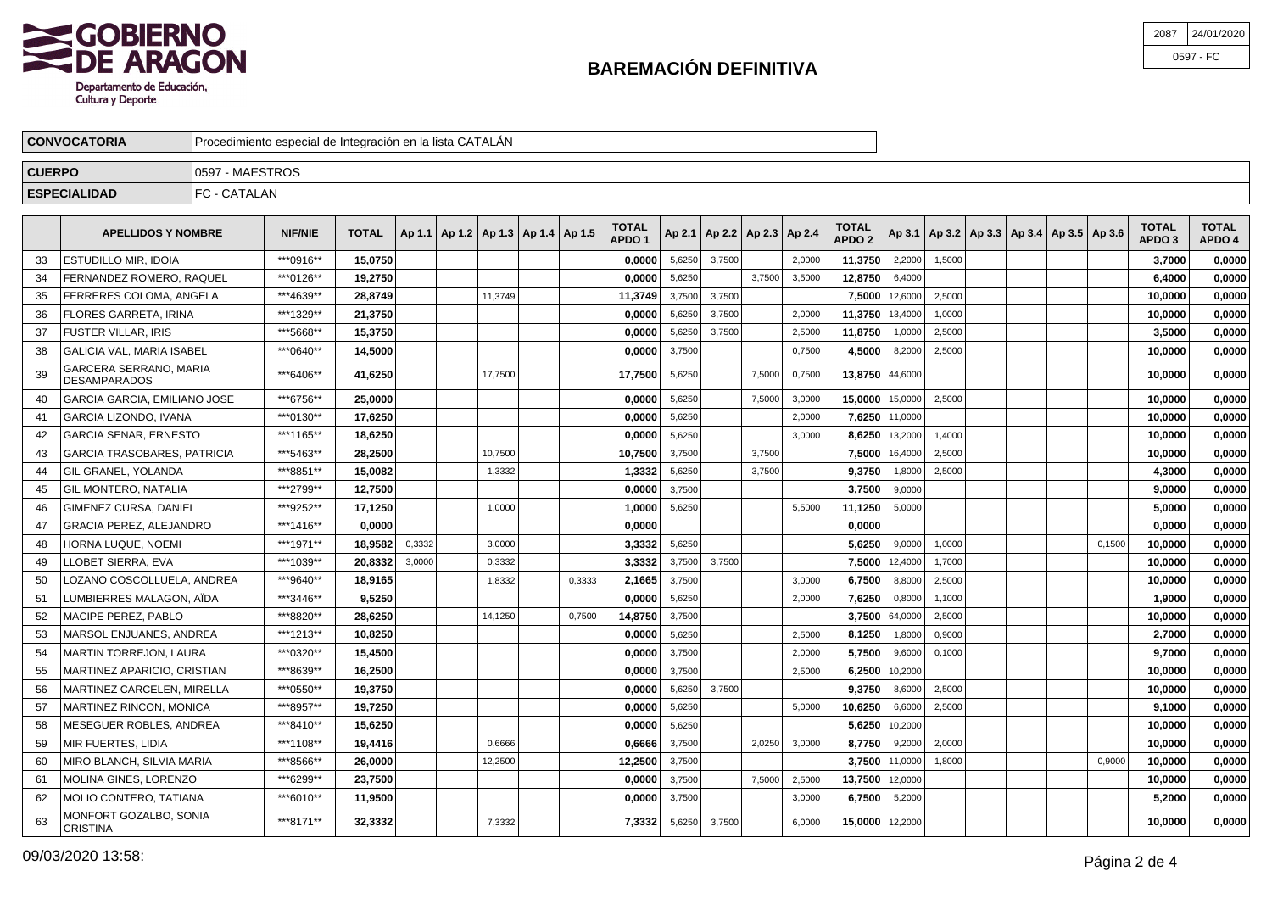

| 2087 | 24/01/2020 |
|------|------------|
|      | 0597 - FC  |

| <b>CONVOCATORIA</b> | Procedimiento especial de Integración en la lista CATALAN |  |
|---------------------|-----------------------------------------------------------|--|
| <b>CUERPO</b>       | 7 - MAESTROS<br>1059                                      |  |
| <b>ESPECIALIDAD</b> | IFC - CATALAN                                             |  |

|    | <b>APELLIDOS Y NOMBRE</b>                     | <b>NIF/NIE</b> | <b>TOTAL</b> |        | Ap 1.1   Ap 1.2   Ap 1.3   Ap 1.4   Ap 1.5 |        | <b>TOTAL</b><br>APDO <sub>1</sub> |        |        | Ap 2.1   Ap 2.2   Ap 2.3   Ap 2.4 |        | <b>TOTAL</b><br>APDO <sub>2</sub> |                |        |  | Ap 3.1   Ap 3.2   Ap 3.3   Ap 3.4   Ap 3.5   Ap 3.6 |        | <b>TOTAL</b><br>APDO <sub>3</sub> | <b>TOTAL</b><br>APDO 4 |
|----|-----------------------------------------------|----------------|--------------|--------|--------------------------------------------|--------|-----------------------------------|--------|--------|-----------------------------------|--------|-----------------------------------|----------------|--------|--|-----------------------------------------------------|--------|-----------------------------------|------------------------|
| 33 | <b>ESTUDILLO MIR. IDOIA</b>                   | $***0916**$    | 15,0750      |        |                                            |        | 0,0000                            | 5,6250 | 3,7500 |                                   | 2,0000 | 11,3750                           | 2,2000         | 1,5000 |  |                                                     |        | 3,7000                            | 0,0000                 |
| 34 | FERNANDEZ ROMERO, RAQUEL                      | ***0126**      | 19.2750      |        |                                            |        | 0.0000                            | 5.6250 |        | 3.7500                            | 3,5000 | 12.8750                           | 6,4000         |        |  |                                                     |        | 6.4000                            | 0,0000                 |
| 35 | FERRERES COLOMA, ANGELA                       | ***4639**      | 28.8749      |        | 11.3749                                    |        | 11,3749                           | 3,7500 | 3,7500 |                                   |        | 7,5000                            | 12,6000        | 2,5000 |  |                                                     |        | 10,0000                           | 0,0000                 |
| 36 | FLORES GARRETA. IRINA                         | ***1329**      | 21,3750      |        |                                            |        | 0.0000                            | 5,6250 | 3,7500 |                                   | 2.0000 | 11.3750                           | 13,4000        | 1,0000 |  |                                                     |        | 10.0000                           | 0,0000                 |
| 37 | <b>FUSTER VILLAR, IRIS</b>                    | ***5668**      | 15.3750      |        |                                            |        | 0.0000                            | 5.6250 | 3,7500 |                                   | 2.5000 | 11.8750                           | 1,0000         | 2.5000 |  |                                                     |        | 3,5000                            | 0.0000                 |
| 38 | <b>GALICIA VAL. MARIA ISABEL</b>              | ***0640**      | 14.5000      |        |                                            |        | 0,0000                            | 3,7500 |        |                                   | 0,7500 | 4.5000                            | 8,2000         | 2,5000 |  |                                                     |        | 10.0000                           | 0,0000                 |
| 39 | GARCERA SERRANO, MARIA<br><b>DESAMPARADOS</b> | ***6406**      | 41,6250      |        | 17,7500                                    |        | 17.7500                           | 5,6250 |        | 7.5000                            | 0,7500 | 13,8750 44,6000                   |                |        |  |                                                     |        | 10,0000                           | 0,0000                 |
| 40 | GARCIA GARCIA. EMILIANO JOSE                  | ***6756**      | 25.0000      |        |                                            |        | 0.0000                            | 5.6250 |        | 7.5000                            | 3,0000 | 15,0000                           | 15,0000        | 2.5000 |  |                                                     |        | 10.0000                           | 0.0000                 |
| 41 | <b>GARCIA LIZONDO. IVANA</b>                  | ***0130**      | 17,6250      |        |                                            |        | 0.0000                            | 5.6250 |        |                                   | 2.0000 | 7.6250 11,0000                    |                |        |  |                                                     |        | 10,0000                           | 0,0000                 |
| 42 | <b>GARCIA SENAR, ERNESTO</b>                  | ***1165**      | 18.6250      |        |                                            |        | 0.0000                            | 5,6250 |        |                                   | 3.0000 |                                   | 8,6250 13,2000 | 1.4000 |  |                                                     |        | 10.0000                           | 0,0000                 |
| 43 | GARCIA TRASOBARES. PATRICIA                   | ***5463**      | 28.2500      |        | 10.7500                                    |        | 10,7500                           | 3,7500 |        | 3.7500                            |        | 7.5000                            | 16,4000        | 2,5000 |  |                                                     |        | 10.0000                           | 0.0000                 |
| 44 | <b>GIL GRANEL, YOLANDA</b>                    | ***8851**      | 15.0082      |        | 1,3332                                     |        | 1,3332                            | 5,6250 |        | 3,7500                            |        | 9.3750                            | 1,8000         | 2,5000 |  |                                                     |        | 4.3000                            | 0,0000                 |
| 45 | <b>GIL MONTERO, NATALIA</b>                   | ***2799**      | 12.7500      |        |                                            |        | 0.0000                            | 3,7500 |        |                                   |        | 3.7500                            | 9,0000         |        |  |                                                     |        | 9.0000                            | 0.0000                 |
| 46 | GIMENEZ CURSA, DANIEL                         | ***9252**      | 17,1250      |        | 1,0000                                     |        | 1,0000                            | 5,6250 |        |                                   | 5,5000 | 11,1250                           | 5,0000         |        |  |                                                     |        | 5.0000                            | 0,0000                 |
| 47 | <b>GRACIA PEREZ, ALEJANDRO</b>                | ***1416**      | 0,0000       |        |                                            |        | 0,0000                            |        |        |                                   |        | 0,0000                            |                |        |  |                                                     |        | 0,0000                            | 0,0000                 |
| 48 | HORNA LUQUE, NOEMI                            | ***1971**      | 18,9582      | 0,3332 | 3,0000                                     |        | 3,3332                            | 5,6250 |        |                                   |        | 5,6250                            | 9,0000         | 1,0000 |  |                                                     | 0,1500 | 10,0000                           | 0,0000                 |
| 49 | LOBET SIERRA. EVA                             | ***1039**      | 20,8332      | 3,0000 | 0,3332                                     |        | 3,3332                            | 3,7500 | 3,7500 |                                   |        | 7,5000                            | 12,4000        | 1,7000 |  |                                                     |        | 10,0000                           | 0,0000                 |
| 50 | OZANO COSCOLLUELA, ANDREA                     | ***9640**      | 18,9165      |        | 1,8332                                     | 0,3333 | 2,1665                            | 3,7500 |        |                                   | 3,0000 | 6,7500                            | 8,8000         | 2,5000 |  |                                                     |        | 10,0000                           | 0,0000                 |
| 51 | LUMBIERRES MALAGON. AÏDA                      | ***3446**      | 9,5250       |        |                                            |        | 0,0000                            | 5,6250 |        |                                   | 2,0000 | 7,6250                            | 0,8000         | 1,1000 |  |                                                     |        | 1,9000                            | 0,0000                 |
| 52 | MACIPE PEREZ, PABLO                           | ***8820**      | 28,6250      |        | 14,1250                                    | 0,7500 | 14,8750                           | 3,7500 |        |                                   |        | 3,7500                            | 64,0000        | 2,5000 |  |                                                     |        | 10,0000                           | 0,0000                 |
| 53 | MARSOL ENJUANES, ANDREA                       | ***1213**      | 10,8250      |        |                                            |        | 0,0000                            | 5,6250 |        |                                   | 2,5000 | 8,1250                            | 1,8000         | 0,9000 |  |                                                     |        | 2,7000                            | 0,0000                 |
| 54 | MARTIN TORREJON, LAURA                        | ***0320**      | 15,4500      |        |                                            |        | 0,0000                            | 3,7500 |        |                                   | 2,0000 | 5,7500                            | 9,6000         | 0,1000 |  |                                                     |        | 9,7000                            | 0,0000                 |
| 55 | MARTINEZ APARICIO. CRISTIAN                   | ***8639**      | 16,2500      |        |                                            |        | 0,0000                            | 3,7500 |        |                                   | 2,5000 | 6,2500                            | 10,2000        |        |  |                                                     |        | 10,0000                           | 0,0000                 |
| 56 | MARTINEZ CARCELEN, MIRELLA                    | ***0550**      | 19,3750      |        |                                            |        | 0,0000                            | 5,6250 | 3,7500 |                                   |        | 9.3750                            | 8,6000         | 2,5000 |  |                                                     |        | 10,0000                           | 0,0000                 |
| 57 | <b>MARTINEZ RINCON, MONICA</b>                | ***8957**      | 19,7250      |        |                                            |        | 0,0000                            | 5,6250 |        |                                   | 5,0000 | 10,6250                           | 6,6000         | 2,5000 |  |                                                     |        | 9,1000                            | 0,0000                 |
| 58 | MESEGUER ROBLES, ANDREA                       | ***8410**      | 15,6250      |        |                                            |        | 0,0000                            | 5,6250 |        |                                   |        | 5,6250                            | 10,2000        |        |  |                                                     |        | 10,0000                           | 0,0000                 |
| 59 | MIR FUERTES, LIDIA                            | ***1108**      | 19,4416      |        | 0.6666                                     |        | 0,6666                            | 3,7500 |        | 2.0250                            | 3,0000 | 8,7750                            | 9,2000         | 2,0000 |  |                                                     |        | 10,0000                           | 0,0000                 |
| 60 | MIRO BLANCH, SILVIA MARIA                     | ***8566**      | 26.0000      |        | 12,2500                                    |        | 12,2500                           | 3,7500 |        |                                   |        | 3.7500                            | 11,0000        | 1,8000 |  |                                                     | 0,9000 | 10,0000                           | 0,0000                 |
| 61 | MOLINA GINES, LORENZO                         | ***6299**      | 23,7500      |        |                                            |        | 0.0000                            | 3,7500 |        | 7,5000                            | 2,5000 | 13,7500                           | 12,0000        |        |  |                                                     |        | 10.0000                           | 0,0000                 |
| 62 | MOLIO CONTERO, TATIANA                        | ***6010**      | 11,9500      |        |                                            |        | 0,0000                            | 3,7500 |        |                                   | 3,0000 | 6,7500                            | 5,2000         |        |  |                                                     |        | 5,2000                            | 0,0000                 |
| 63 | MONFORT GOZALBO, SONIA<br><b>CRISTINA</b>     | ***8171**      | 32,3332      |        | 7,3332                                     |        | 7.3332                            | 5,6250 | 3,7500 |                                   | 6,0000 | 15,0000 12,2000                   |                |        |  |                                                     |        | 10.0000                           | 0,0000                 |

09/03/2020 13:58: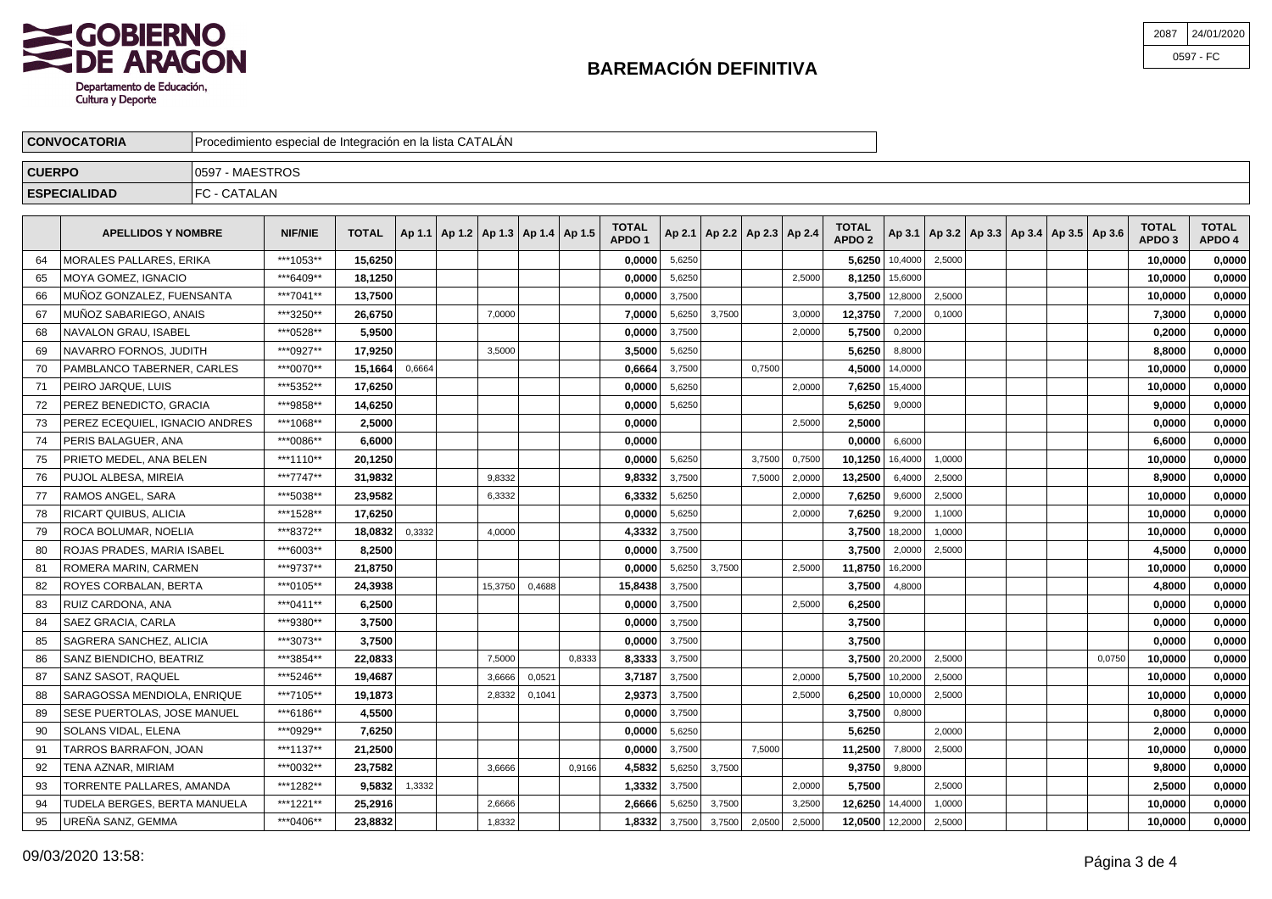

| 2087 | 24/01/2020 |
|------|------------|
|      | 0597 - FC  |

| <b>CONVOCATORIA</b> | Procedimiento especial de Integración en la lista CATALAN |  |
|---------------------|-----------------------------------------------------------|--|
| <b>CUERPO</b>       | 7 - MAESTROS<br>1059                                      |  |
| <b>ESPECIALIDAD</b> | IFC - CATALAN                                             |  |

| ***1053**<br>15,6250<br>5,6250<br>10,4000<br>64<br>MORALES PALLARES. ERIKA<br>0,0000<br>5,6250<br>2,5000<br>MOYA GOMEZ. IGNACIO<br>***6409**<br>18,1250<br>0.0000<br>5,6250<br>2.5000<br>8.1250<br>15,6000<br>65<br>MUÑOZ GONZALEZ, FUENSANTA<br>***7041**<br>13,7500<br>3,7500<br>12,8000<br>66<br>0,0000<br>3,7500<br>2,5000<br>MUÑOZ SABARIEGO. ANAIS<br>***3250**<br>26.6750<br>12.3750<br>67<br>7.0000<br>7.0000<br>5.6250<br>3,7500<br>7,2000<br>0,1000<br>3.0000<br>NAVALON GRAU, ISABEL<br>***0528**<br>3,7500<br>5,9500<br>0,0000<br>2,0000<br>5,7500<br>0,2000<br>68<br>***0927**<br>17,9250<br>3,5000<br>5,6250<br>69<br>NAVARRO FORNOS, JUDITH<br>3,5000<br>5,6250<br>8,8000<br>3,7500<br>70<br>PAMBLANCO TABERNER, CARLES<br>***0070**<br>15,1664<br>0,6664<br>0.6664<br>0.7500<br>4.5000<br>14,0000<br>PEIRO JARQUE, LUIS<br>***5352**<br>17,6250<br>0,0000<br>5,6250<br>2,0000<br>7.6250<br>15,4000<br>71<br>PEREZ BENEDICTO, GRACIA<br>***9858**<br>14,6250<br>0,0000<br>5,6250<br>72<br>5,6250<br>9,0000<br>***1068**<br>PEREZ ECEQUIEL. IGNACIO ANDRES<br>2,5000<br>0,0000<br>2,5000<br>2,5000<br>73<br>***0086**<br>PERIS BALAGUER, ANA<br>6,6000<br>0,0000<br>0.0000<br>6,6000<br>74 | <b>TOTAL</b><br><b>TOTAL</b><br>APDO <sub>3</sub><br>APDO 4 |
|----------------------------------------------------------------------------------------------------------------------------------------------------------------------------------------------------------------------------------------------------------------------------------------------------------------------------------------------------------------------------------------------------------------------------------------------------------------------------------------------------------------------------------------------------------------------------------------------------------------------------------------------------------------------------------------------------------------------------------------------------------------------------------------------------------------------------------------------------------------------------------------------------------------------------------------------------------------------------------------------------------------------------------------------------------------------------------------------------------------------------------------------------------------------------------------------------------|-------------------------------------------------------------|
|                                                                                                                                                                                                                                                                                                                                                                                                                                                                                                                                                                                                                                                                                                                                                                                                                                                                                                                                                                                                                                                                                                                                                                                                          | 10,0000<br>0,0000                                           |
|                                                                                                                                                                                                                                                                                                                                                                                                                                                                                                                                                                                                                                                                                                                                                                                                                                                                                                                                                                                                                                                                                                                                                                                                          | 0,0000<br>10.0000                                           |
|                                                                                                                                                                                                                                                                                                                                                                                                                                                                                                                                                                                                                                                                                                                                                                                                                                                                                                                                                                                                                                                                                                                                                                                                          | 10,0000<br>0,0000                                           |
|                                                                                                                                                                                                                                                                                                                                                                                                                                                                                                                                                                                                                                                                                                                                                                                                                                                                                                                                                                                                                                                                                                                                                                                                          | 0,0000<br>7,3000                                            |
|                                                                                                                                                                                                                                                                                                                                                                                                                                                                                                                                                                                                                                                                                                                                                                                                                                                                                                                                                                                                                                                                                                                                                                                                          | 0,2000<br>0,0000                                            |
|                                                                                                                                                                                                                                                                                                                                                                                                                                                                                                                                                                                                                                                                                                                                                                                                                                                                                                                                                                                                                                                                                                                                                                                                          | 8,8000<br>0,0000                                            |
|                                                                                                                                                                                                                                                                                                                                                                                                                                                                                                                                                                                                                                                                                                                                                                                                                                                                                                                                                                                                                                                                                                                                                                                                          | 10.0000<br>0,0000                                           |
|                                                                                                                                                                                                                                                                                                                                                                                                                                                                                                                                                                                                                                                                                                                                                                                                                                                                                                                                                                                                                                                                                                                                                                                                          | 10,0000<br>0,0000                                           |
|                                                                                                                                                                                                                                                                                                                                                                                                                                                                                                                                                                                                                                                                                                                                                                                                                                                                                                                                                                                                                                                                                                                                                                                                          | 9,0000<br>0,0000                                            |
|                                                                                                                                                                                                                                                                                                                                                                                                                                                                                                                                                                                                                                                                                                                                                                                                                                                                                                                                                                                                                                                                                                                                                                                                          | 0,0000<br>0,0000                                            |
|                                                                                                                                                                                                                                                                                                                                                                                                                                                                                                                                                                                                                                                                                                                                                                                                                                                                                                                                                                                                                                                                                                                                                                                                          | 0,0000<br>6,6000                                            |
| ***1110**<br>20,1250<br>10,1250<br>75<br>PRIETO MEDEL, ANA BELEN<br>0,0000<br>5,6250<br>0,7500<br>16,4000<br>1,0000<br>3,7500                                                                                                                                                                                                                                                                                                                                                                                                                                                                                                                                                                                                                                                                                                                                                                                                                                                                                                                                                                                                                                                                            | 10,0000<br>0,0000                                           |
| PUJOL ALBESA, MIREIA<br>***7747**<br>31,9832<br>9.8332<br>3.7500<br>13.2500<br>6,4000<br>2,5000<br>76<br>9,8332<br>7.5000<br>2,0000                                                                                                                                                                                                                                                                                                                                                                                                                                                                                                                                                                                                                                                                                                                                                                                                                                                                                                                                                                                                                                                                      | 0,0000<br>8,9000                                            |
| ***5038**<br>23,9582<br>6,3332<br>7.6250<br>77<br>RAMOS ANGEL, SARA<br>6,3332<br>5,6250<br>9,6000<br>2,5000<br>2,0000                                                                                                                                                                                                                                                                                                                                                                                                                                                                                                                                                                                                                                                                                                                                                                                                                                                                                                                                                                                                                                                                                    | 10,0000<br>0,0000                                           |
| ***1528**<br>17,6250<br>0,0000<br>5,6250<br>7,6250<br>78<br>RICART QUIBUS, ALICIA<br>2,0000<br>9,2000<br>1,1000                                                                                                                                                                                                                                                                                                                                                                                                                                                                                                                                                                                                                                                                                                                                                                                                                                                                                                                                                                                                                                                                                          | 10,0000<br>0,0000                                           |
| ***8372**<br>ROCA BOLUMAR, NOELIA<br>18.0832<br>0,3332<br>4,0000<br>4.3332<br>3,7500<br>3.7500<br>18,2000<br>1,0000<br>79                                                                                                                                                                                                                                                                                                                                                                                                                                                                                                                                                                                                                                                                                                                                                                                                                                                                                                                                                                                                                                                                                | 0,0000<br>10.0000                                           |
| ROJAS PRADES, MARIA ISABEL<br>***6003**<br>8,2500<br>3,7500<br>3,7500<br>2,0000<br>80<br>0,0000<br>2,5000                                                                                                                                                                                                                                                                                                                                                                                                                                                                                                                                                                                                                                                                                                                                                                                                                                                                                                                                                                                                                                                                                                | 4,5000<br>0,0000                                            |
| ***9737**<br>11,8750<br>ROMERA MARIN, CARMEN<br>21,8750<br>0,0000<br>5,6250<br>3,7500<br>2,5000<br>16,2000<br>81                                                                                                                                                                                                                                                                                                                                                                                                                                                                                                                                                                                                                                                                                                                                                                                                                                                                                                                                                                                                                                                                                         | 10,0000<br>0,0000                                           |
| ROYES CORBALAN, BERTA<br>***0105**<br>24,3938<br>0,4688<br>15.8438<br>3.7500<br>3,7500<br>82<br>15.3750<br>4,8000                                                                                                                                                                                                                                                                                                                                                                                                                                                                                                                                                                                                                                                                                                                                                                                                                                                                                                                                                                                                                                                                                        | 4.8000<br>0,0000                                            |
| ***0411**<br>83<br>l RUIZ CARDONA. ANA<br>6,2500<br>0,0000<br>3,7500<br>2,5000<br>6,2500                                                                                                                                                                                                                                                                                                                                                                                                                                                                                                                                                                                                                                                                                                                                                                                                                                                                                                                                                                                                                                                                                                                 | 0,0000<br>0,0000                                            |
| <b>SAEZ GRACIA, CARLA</b><br>***9380**<br>3,7500<br>0,0000<br>3,7500<br>3,7500<br>84                                                                                                                                                                                                                                                                                                                                                                                                                                                                                                                                                                                                                                                                                                                                                                                                                                                                                                                                                                                                                                                                                                                     | 0,0000<br>0,0000                                            |
| 85<br>SAGRERA SANCHEZ, ALICIA<br>***3073**<br>3.7500<br>0.0000<br>3,7500<br>3.7500                                                                                                                                                                                                                                                                                                                                                                                                                                                                                                                                                                                                                                                                                                                                                                                                                                                                                                                                                                                                                                                                                                                       | 0.0000<br>0.0000                                            |
| ***3854**<br>22,0833<br>8,3333<br>20,2000<br>86<br>SANZ BIENDICHO, BEATRIZ<br>7.5000<br>0.8333<br>3,7500<br>3.7500<br>2,5000<br>0.0750                                                                                                                                                                                                                                                                                                                                                                                                                                                                                                                                                                                                                                                                                                                                                                                                                                                                                                                                                                                                                                                                   | 10,0000<br>0,0000                                           |
| ***5246**<br>SANZ SASOT, RAQUEL<br>0,0521<br>3,7187<br>3,7500<br>5,7500<br>87<br>19,4687<br>3,6666<br>2,0000<br>10,2000<br>2,5000                                                                                                                                                                                                                                                                                                                                                                                                                                                                                                                                                                                                                                                                                                                                                                                                                                                                                                                                                                                                                                                                        | 10,0000<br>0,0000                                           |
| ***7105**<br>SARAGOSSA MENDIOLA. ENRIQUE<br>19,1873<br>2,9373<br>3,7500<br>6.2500<br>88<br>2,8332<br>0,1041<br>2,5000<br>10,0000<br>2,5000                                                                                                                                                                                                                                                                                                                                                                                                                                                                                                                                                                                                                                                                                                                                                                                                                                                                                                                                                                                                                                                               | 10.0000<br>0,0000                                           |
| ***6186**<br>4,5500<br>89<br>SESE PUERTOLAS, JOSE MANUEL<br>0.0000<br>3,7500<br>3,7500<br>0,8000                                                                                                                                                                                                                                                                                                                                                                                                                                                                                                                                                                                                                                                                                                                                                                                                                                                                                                                                                                                                                                                                                                         | 0,0000<br>0.8000                                            |
| ***0929**<br>90<br>SOLANS VIDAL, ELENA<br>7,6250<br>0,0000<br>5,6250<br>5,6250<br>2,0000                                                                                                                                                                                                                                                                                                                                                                                                                                                                                                                                                                                                                                                                                                                                                                                                                                                                                                                                                                                                                                                                                                                 | 0,0000<br>2,0000                                            |
| ***1137**<br>TARROS BARRAFON. JOAN<br>21,2500<br>0.0000<br>11.2500<br>91<br>3.7500<br>7.5000<br>7,8000<br>2,5000                                                                                                                                                                                                                                                                                                                                                                                                                                                                                                                                                                                                                                                                                                                                                                                                                                                                                                                                                                                                                                                                                         | 0.0000<br>10.0000                                           |
| ***0032**<br>TENA AZNAR. MIRIAM<br>23,7582<br>4,5832<br>5,6250<br>3,7500<br>9,3750<br>9,8000<br>92<br>3,6666<br>0,9166                                                                                                                                                                                                                                                                                                                                                                                                                                                                                                                                                                                                                                                                                                                                                                                                                                                                                                                                                                                                                                                                                   | 9,8000<br>0,0000                                            |
| ***1282**<br>9,5832<br>5,7500<br>TORRENTE PALLARES, AMANDA<br>1,3332<br>1,3332<br>3,7500<br>2,5000<br>93<br>2,0000                                                                                                                                                                                                                                                                                                                                                                                                                                                                                                                                                                                                                                                                                                                                                                                                                                                                                                                                                                                                                                                                                       | 2,5000<br>0,0000                                            |
| TUDELA BERGES, BERTA MANUELA<br>***1221**<br>25,2916<br>2,6666<br>12.6250<br>94<br>2.6666<br>5.6250<br>3,7500<br>3.2500<br>14,4000<br>1,0000                                                                                                                                                                                                                                                                                                                                                                                                                                                                                                                                                                                                                                                                                                                                                                                                                                                                                                                                                                                                                                                             | 10.0000<br>0,0000                                           |
| UREÑA SANZ, GEMMA<br>***0406**<br>3,7500<br>2,0500<br>12,2000<br>95<br>23,8832<br>1.8332<br>1.8332<br>3,7500<br>2,5000<br>12.0500<br>2,5000                                                                                                                                                                                                                                                                                                                                                                                                                                                                                                                                                                                                                                                                                                                                                                                                                                                                                                                                                                                                                                                              | 10.0000<br>0.0000                                           |